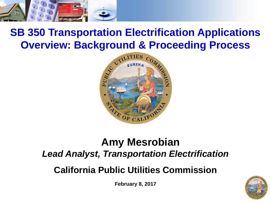

#### **SB 350 Transportation Electrification Applications Overview: Background & Proceeding Process**



#### **Amy Mesrobian** *Lead Analyst, Transportation Electrification*

**California Public Utilities Commission**

**February 8, 2017**

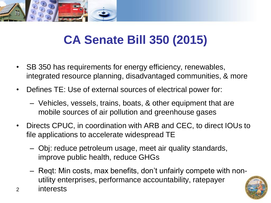

# **CA Senate Bill 350 (2015)**

- SB 350 has requirements for energy efficiency, renewables, integrated resource planning, disadvantaged communities, & more
- Defines TE: Use of external sources of electrical power for:
	- Vehicles, vessels, trains, boats, & other equipment that are mobile sources of air pollution and greenhouse gases
- Directs CPUC, in coordination with ARB and CEC, to direct IOUs to file applications to accelerate widespread TE
	- Obj: reduce petroleum usage, meet air quality standards, improve public health, reduce GHGs
	- Reqt: Min costs, max benefits, don't unfairly compete with nonutility enterprises, performance accountability, ratepayer
- 2 interests

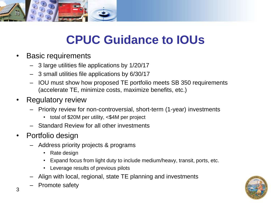

# **CPUC Guidance to IOUs**

- Basic requirements
	- 3 large utilities file applications by 1/20/17
	- 3 small utilities file applications by 6/30/17
	- IOU must show how proposed TE portfolio meets SB 350 requirements (accelerate TE, minimize costs, maximize benefits, etc.)
- Regulatory review
	- Priority review for non-controversial, short-term (1-year) investments
		- total of \$20M per utility, <\$4M per project
	- Standard Review for all other investments
- Portfolio design
	- Address priority projects & programs
		- Rate design
		- Expand focus from light duty to include medium/heavy, transit, ports, etc.
		- Leverage results of previous pilots
	- Align with local, regional, state TE planning and investments
	- Promote safety

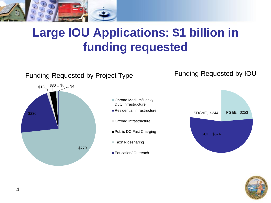

# **Large IOU Applications: \$1 billion in funding requested**

#### Funding Requested by Project Type Funding Requested by IOU



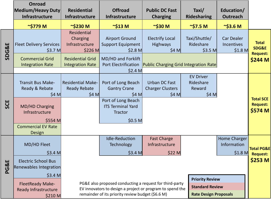|                  | <b>Onroad</b>                                                                                                                             |                                                                                                                                                                                                                                     |                                                                                                                                    |                                                          |                                                              |                                                    |                                                |
|------------------|-------------------------------------------------------------------------------------------------------------------------------------------|-------------------------------------------------------------------------------------------------------------------------------------------------------------------------------------------------------------------------------------|------------------------------------------------------------------------------------------------------------------------------------|----------------------------------------------------------|--------------------------------------------------------------|----------------------------------------------------|------------------------------------------------|
|                  | Medium/Heavy Duty                                                                                                                         | <b>Residential</b>                                                                                                                                                                                                                  | <b>Offroad</b>                                                                                                                     | <b>Public DC Fast</b>                                    | Taxi/                                                        | Education/                                         |                                                |
|                  | <b>Infrastructure</b>                                                                                                                     | Infrastructure                                                                                                                                                                                                                      | <b>Infrastructure</b>                                                                                                              | <b>Charging</b>                                          | <b>Ridesharing</b>                                           | <b>Outreach</b>                                    |                                                |
|                  | $\sim$ \$779 M                                                                                                                            | $\sim$ \$230 M                                                                                                                                                                                                                      | $\sim$ \$13 M                                                                                                                      | $\sim$ \$30 M                                            | $\sim$ \$7.5 M                                               | $\sim$ \$3.6 M                                     |                                                |
| <b>SDG&amp;E</b> | <b>Fleet Delivery Services</b><br>\$3.7 <sub>M</sub>                                                                                      | Residential<br>Charging<br>Infrastructure<br>$$226$ M                                                                                                                                                                               | <b>Airport Ground</b><br><b>Support Equipment</b><br>$$2.8$ M                                                                      | <b>Electrify Local</b><br><b>Highways</b><br>\$4 M       | Taxi/Shuttle/<br>Rideshare<br>$$3.5$ M                       | <b>Car Dealer</b><br><b>Incentives</b><br>$$1.8$ M | <b>Total</b><br>SDG&E<br><b>Request:</b>       |
|                  | <b>Commercial Grid</b><br><b>Integration Rate</b>                                                                                         | <b>Residential Grid</b><br><b>Integration Rate</b>                                                                                                                                                                                  | MD/HD and Forklift<br>$$2.4$ M                                                                                                     |                                                          | Port Electrification   Public Charging Grid Integration Rate |                                                    | \$244 M                                        |
| SCE              | Transit Bus Make-<br>Ready & Rebate<br>\$4 M<br><b>MD/HD Charging</b><br>Infrastructure<br>\$554 M<br><b>Commercial EV Rate</b><br>Design | <b>Residential Make-</b><br><b>Ready Rebate</b><br>\$4 M                                                                                                                                                                            | Port of Long Beach<br><b>Gantry Crane</b><br>\$4 M<br>Port of Long Beach<br><b>ITS Terminal Yard</b><br><b>Tractor</b><br>$$0.5$ M | <b>Urban DC Fast</b><br><b>Charger Clusters</b><br>\$4 M | <b>EV Driver</b><br>Rideshare<br>Reward<br>\$4 M             |                                                    | <b>Total SCE</b><br><b>Request:</b><br>\$574 M |
| G&E<br>ᅀ         | MD/HD Fleet<br>\$3.4 <sub>M</sub><br><b>Electric School Bus</b><br>Renewables Integration<br>\$3.4 <sub>M</sub>                           |                                                                                                                                                                                                                                     | <b>Idle-Reduction</b><br>Technology<br>$$3.4$ M                                                                                    | <b>Fast Charge</b><br>Infrastructure<br>$$22$ M          | <b>Priority Review</b>                                       | Home Charger<br>Information<br>$$1.8$ M            | Total PG&E<br><b>Request:</b><br>$$253$ M      |
|                  | <b>FleetReady Make-</b><br>Ready Infrastructure<br>\$210 M                                                                                | PG&E also proposed conducting a request for third-party<br><b>Standard Review</b><br>EV innovators to design a project or program to spend the<br>remainder of its priority review budget (\$6.6 M)<br><b>Rate Design Proposals</b> |                                                                                                                                    |                                                          |                                                              |                                                    |                                                |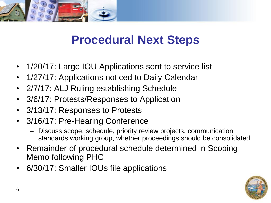

### **Procedural Next Steps**

- 1/20/17: Large IOU Applications sent to service list
- 1/27/17: Applications noticed to Daily Calendar
- 2/7/17: ALJ Ruling establishing Schedule
- 3/6/17: Protests/Responses to Application
- 3/13/17: Responses to Protests
- 3/16/17: Pre-Hearing Conference
	- Discuss scope, schedule, priority review projects, communication standards working group, whether proceedings should be consolidated
- Remainder of procedural schedule determined in Scoping Memo following PHC
- 6/30/17: Smaller IOUs file applications